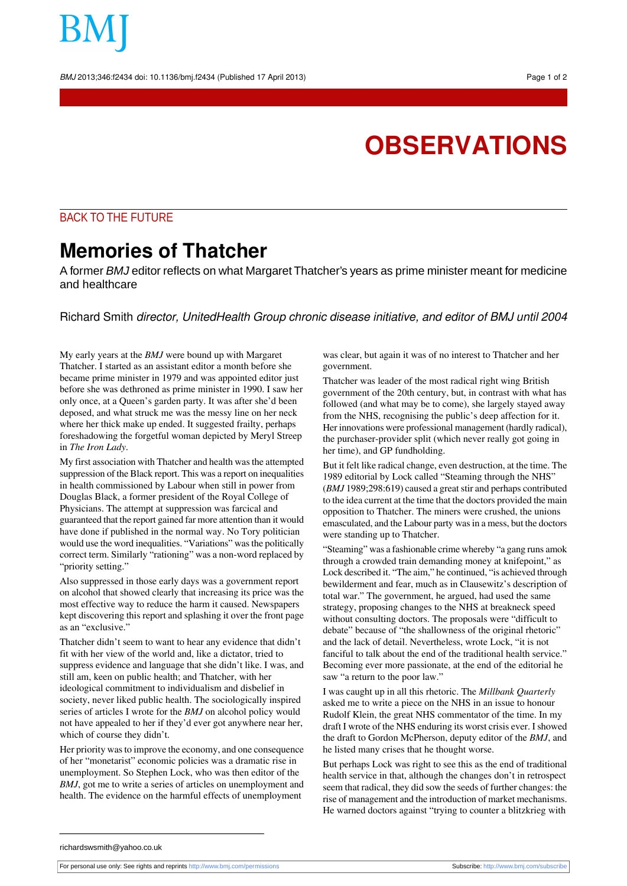BMJ 2013;346:f2434 doi: 10.1136/bmj.f2434 (Published 17 April 2013) Page 1 of 2

## **OBSERVATIONS**

## BACK TO THE FUTURE

## **Memories of Thatcher**

A former *BMJ* editor reflects on what Margaret Thatcher's years as prime minister meant for medicine and healthcare

Richard Smith director, UnitedHealth Group chronic disease initiative, and editor of BMJ until 2004

My early years at the *BMJ* were bound up with Margaret Thatcher. I started as an assistant editor a month before she became prime minister in 1979 and was appointed editor just before she was dethroned as prime minister in 1990. I saw her only once, at a Queen's garden party. It was after she'd been deposed, and what struck me was the messy line on her neck where her thick make up ended. It suggested frailty, perhaps foreshadowing the forgetful woman depicted by Meryl Streep in *The Iron Lady*.

My first association with Thatcher and health was the attempted suppression of the Black report. This was a report on inequalities in health commissioned by Labour when still in power from Douglas Black, a former president of the Royal College of Physicians. The attempt at suppression was farcical and guaranteed that the report gained far more attention than it would have done if published in the normal way. No Tory politician would use the word inequalities. "Variations" wasthe politically correct term. Similarly "rationing" was a non-word replaced by "priority setting."

Also suppressed in those early days was a government report on alcohol that showed clearly that increasing its price was the most effective way to reduce the harm it caused. Newspapers kept discovering this report and splashing it over the front page as an "exclusive."

Thatcher didn't seem to want to hear any evidence that didn't fit with her view of the world and, like a dictator, tried to suppress evidence and language that she didn't like. I was, and still am, keen on public health; and Thatcher, with her ideological commitment to individualism and disbelief in society, never liked public health. The sociologically inspired series of articles I wrote for the *BMJ* on alcohol policy would not have appealed to her if they'd ever got anywhere near her, which of course they didn't.

Her priority wasto improve the economy, and one consequence of her "monetarist" economic policies was a dramatic rise in unemployment. So Stephen Lock, who was then editor of the *BMJ*, got me to write a series of articles on unemployment and health. The evidence on the harmful effects of unemployment

was clear, but again it was of no interest to Thatcher and her government.

Thatcher was leader of the most radical right wing British government of the 20th century, but, in contrast with what has followed (and what may be to come), she largely stayed away from the NHS, recognising the public's deep affection for it. Her innovations were professional management (hardly radical), the purchaser-provider split (which never really got going in her time), and GP fundholding.

But it felt like radical change, even destruction, at the time. The 1989 editorial by Lock called "Steaming through the NHS" (BMJ 1989;298:619) caused a great stir and perhaps contributed to the idea current at the time that the doctors provided the main opposition to Thatcher. The miners were crushed, the unions emasculated, and the Labour party was in a mess, but the doctors were standing up to Thatcher.

"Steaming" was a fashionable crime whereby "a gang runs amok through a crowded train demanding money at knifepoint," as Lock described it. "The aim," he continued, "is achieved through bewilderment and fear, much as in Clausewitz's description of total war." The government, he argued, had used the same strategy, proposing changes to the NHS at breakneck speed without consulting doctors. The proposals were "difficult to debate" because of "the shallowness of the original rhetoric" and the lack of detail. Nevertheless, wrote Lock, "it is not fanciful to talk about the end of the traditional health service." Becoming ever more passionate, at the end of the editorial he saw "a return to the poor law."

I was caught up in all this rhetoric. The *Millbank Quarterly* asked me to write a piece on the NHS in an issue to honour Rudolf Klein, the great NHS commentator of the time. In my draft I wrote of the NHS enduring its worst crisis ever. I showed the draft to Gordon McPherson, deputy editor of the *BMJ*, and he listed many crises that he thought worse.

But perhaps Lock was right to see this as the end of traditional health service in that, although the changes don't in retrospect seem that radical, they did sow the seeds of further changes: the rise of management and the introduction of market mechanisms. He warned doctors against "trying to counter a blitzkrieg with

For personal use only: See rights and reprints<http://www.bmj.com/permissions> Subscribe: <http://www.bmj.com/subscribe>

richardswsmith@yahoo.co.uk